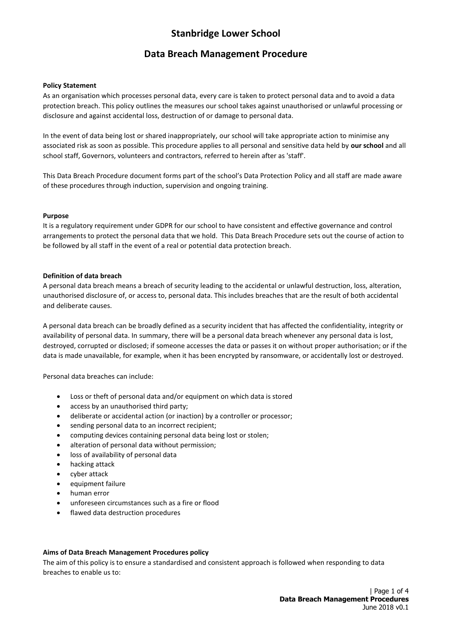### **Data Breach Management Procedure**

#### **Policy Statement**

As an organisation which processes personal data, every care is taken to protect personal data and to avoid a data protection breach. This policy outlines the measures our school takes against unauthorised or unlawful processing or disclosure and against accidental loss, destruction of or damage to personal data.

In the event of data being lost or shared inappropriately, our school will take appropriate action to minimise any associated risk as soon as possible. This procedure applies to all personal and sensitive data held by **our school** and all school staff, Governors, volunteers and contractors, referred to herein after as 'staff'.

This Data Breach Procedure document forms part of the school's Data Protection Policy and all staff are made aware of these procedures through induction, supervision and ongoing training.

#### **Purpose**

It is a regulatory requirement under GDPR for our school to have consistent and effective governance and control arrangements to protect the personal data that we hold. This Data Breach Procedure sets out the course of action to be followed by all staff in the event of a real or potential data protection breach.

#### **Definition of data breach**

A personal data breach means a breach of security leading to the accidental or unlawful destruction, loss, alteration, unauthorised disclosure of, or access to, personal data. This includes breaches that are the result of both accidental and deliberate causes.

A personal data breach can be broadly defined as a security incident that has affected the confidentiality, integrity or availability of personal data. In summary, there will be a personal data breach whenever any personal data is lost, destroyed, corrupted or disclosed; if someone accesses the data or passes it on without proper authorisation; or if the data is made unavailable, for example, when it has been encrypted by ransomware, or accidentally lost or destroyed.

Personal data breaches can include:

- Loss or theft of personal data and/or equipment on which data is stored
- access by an unauthorised third party:
- deliberate or accidental action (or inaction) by a controller or processor;
- sending personal data to an incorrect recipient;
- computing devices containing personal data being lost or stolen;
- alteration of personal data without permission;
- loss of availability of personal data
- hacking attack
- cyber attack
- equipment failure
- human error
- unforeseen circumstances such as a fire or flood
- flawed data destruction procedures

#### **Aims of Data Breach Management Procedures policy**

The aim of this policy is to ensure a standardised and consistent approach is followed when responding to data breaches to enable us to: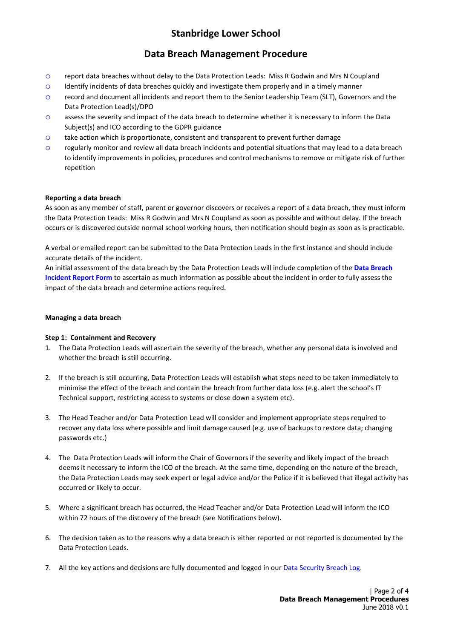## **Data Breach Management Procedure**

- o report data breaches without delay to the Data Protection Leads: Miss R Godwin and Mrs N Coupland
- o Identify incidents of data breaches quickly and investigate them properly and in a timely manner
- o record and document all incidents and report them to the Senior Leadership Team (SLT), Governors and the Data Protection Lead(s)/DPO
- o assess the severity and impact of the data breach to determine whether it is necessary to inform the Data Subject(s) and ICO according to the GDPR guidance
- $\circ$  take action which is proportionate, consistent and transparent to prevent further damage
- o regularly monitor and review all data breach incidents and potential situations that may lead to a data breach to identify improvements in policies, procedures and control mechanisms to remove or mitigate risk of further repetition

#### **Reporting a data breach**

As soon as any member of staff, parent or governor discovers or receives a report of a data breach, they must inform the Data Protection Leads: Miss R Godwin and Mrs N Coupland as soon as possible and without delay. If the breach occurs or is discovered outside normal school working hours, then notification should begin as soon as is practicable.

A verbal or emailed report can be submitted to the Data Protection Leads in the first instance and should include accurate details of the incident.

An initial assessment of the data breach by the Data Protection Leads will include completion of the **Data Breach Incident Report Form** to ascertain as much information as possible about the incident in order to fully assess the impact of the data breach and determine actions required.

#### **Managing a data breach**

#### **Step 1: Containment and Recovery**

- 1. The Data Protection Leads will ascertain the severity of the breach, whether any personal data is involved and whether the breach is still occurring.
- 2. If the breach is still occurring, Data Protection Leads will establish what steps need to be taken immediately to minimise the effect of the breach and contain the breach from further data loss (e.g. alert the school's IT Technical support, restricting access to systems or close down a system etc).
- 3. The Head Teacher and/or Data Protection Lead will consider and implement appropriate steps required to recover any data loss where possible and limit damage caused (e.g. use of backups to restore data; changing passwords etc.)
- 4. The Data Protection Leads will inform the Chair of Governors if the severity and likely impact of the breach deems it necessary to inform the ICO of the breach. At the same time, depending on the nature of the breach, the Data Protection Leads may seek expert or legal advice and/or the Police if it is believed that illegal activity has occurred or likely to occur.
- 5. Where a significant breach has occurred, the Head Teacher and/or Data Protection Lead will inform the ICO within 72 hours of the discovery of the breach (see Notifications below).
- 6. The decision taken as to the reasons why a data breach is either reported or not reported is documented by the Data Protection Leads.
- 7. All the key actions and decisions are fully documented and logged in our Data Security Breach Log.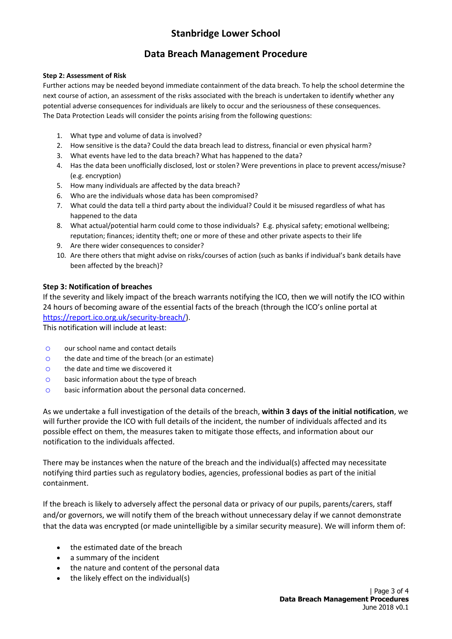## **Data Breach Management Procedure**

### **Step 2: Assessment of Risk**

Further actions may be needed beyond immediate containment of the data breach. To help the school determine the next course of action, an assessment of the risks associated with the breach is undertaken to identify whether any potential adverse consequences for individuals are likely to occur and the seriousness of these consequences. The Data Protection Leads will consider the points arising from the following questions:

- 1. What type and volume of data is involved?
- 2. How sensitive is the data? Could the data breach lead to distress, financial or even physical harm?
- 3. What events have led to the data breach? What has happened to the data?
- 4. Has the data been unofficially disclosed, lost or stolen? Were preventions in place to prevent access/misuse? (e.g. encryption)
- 5. How many individuals are affected by the data breach?
- 6. Who are the individuals whose data has been compromised?
- 7. What could the data tell a third party about the individual? Could it be misused regardless of what has happened to the data
- 8. What actual/potential harm could come to those individuals? E.g. physical safety; emotional wellbeing; reputation; finances; identity theft; one or more of these and other private aspects to their life
- 9. Are there wider consequences to consider?
- 10. Are there others that might advise on risks/courses of action (such as banks if individual's bank details have been affected by the breach)?

### **Step 3: Notification of breaches**

If the severity and likely impact of the breach warrants notifying the ICO, then we will notify the ICO within 24 hours of becoming aware of the essential facts of the breach (through the ICO's online portal at [https://report.ico.org.uk/security-breach/\)](https://report.ico.org.uk/security-breach/).

This notification will include at least:

- o our school name and contact details
- o the date and time of the breach (or an estimate)
- o the date and time we discovered it
- o basic information about the type of breach
- o basic information about the personal data concerned.

As we undertake a full investigation of the details of the breach, **within 3 days of the initial notification**, we will further provide the ICO with full details of the incident, the number of individuals affected and its possible effect on them, the measures taken to mitigate those effects, and information about our notification to the individuals affected.

There may be instances when the nature of the breach and the individual(s) affected may necessitate notifying third parties such as regulatory bodies, agencies, professional bodies as part of the initial containment.

If the breach is likely to adversely affect the personal data or privacy of our pupils, parents/carers, staff and/or governors, we will notify them of the breach without unnecessary delay if we cannot demonstrate that the data was encrypted (or made unintelligible by a similar security measure). We will inform them of:

- the estimated date of the breach
- a summary of the incident
- the nature and content of the personal data
- $\bullet$  the likely effect on the individual(s)